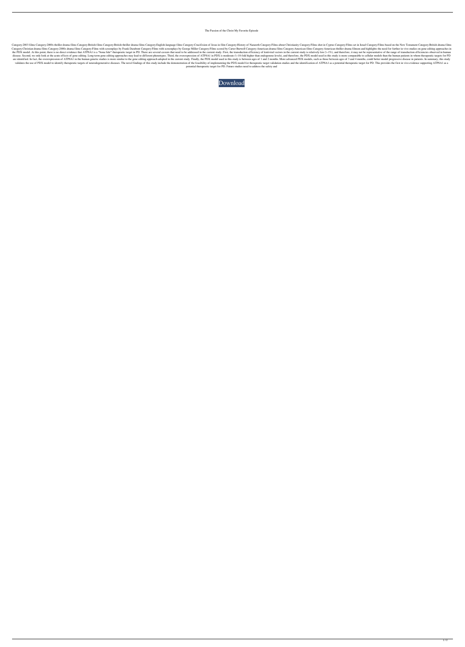## The Passion of the Christ My Favorite Episode

Category:2003 films Category:2000s thriller drama films Category:British films Category:British films Category:British thriller drama films Category:English-language films Category:Crucifixion of Jesus in film Category:His Category:Christian drama films Category:2000s drama films Category:Films with screenplays by Frank Darabont Category:Films with screenplays by George Miller Category:Films scored by Carter Burwell Category:American drama f the PDX model. At this point, there is no direct evidence that ATP8A1 is a \*bona fide\* therapeutic target in PD. There are several caveats that need to be addressed in the current study. First, the transduction efficiency disease. Second, we only look at the acute effects of gene editing. Long-term gene editing approaches may lead to different phenotypes. Third, the overexpression of ATP8A1 in PDX is moderate (\~10-fold higher than endogeno are identified. In fact, the overexpression of ATP8A1 in the human genetic studies is more similar to the gene editing approach adopted in the current study. Finally, the PDX model used in this study is between ages of 1 a validates the use of PDX model to identify therapeutic targets of neurodegenerative diseases. The novel findings of this study include the demonstration of the feasibility of implementing the PDX model for therapeutic targ potential therapeutic target for PD. Future studies need to address the safety and